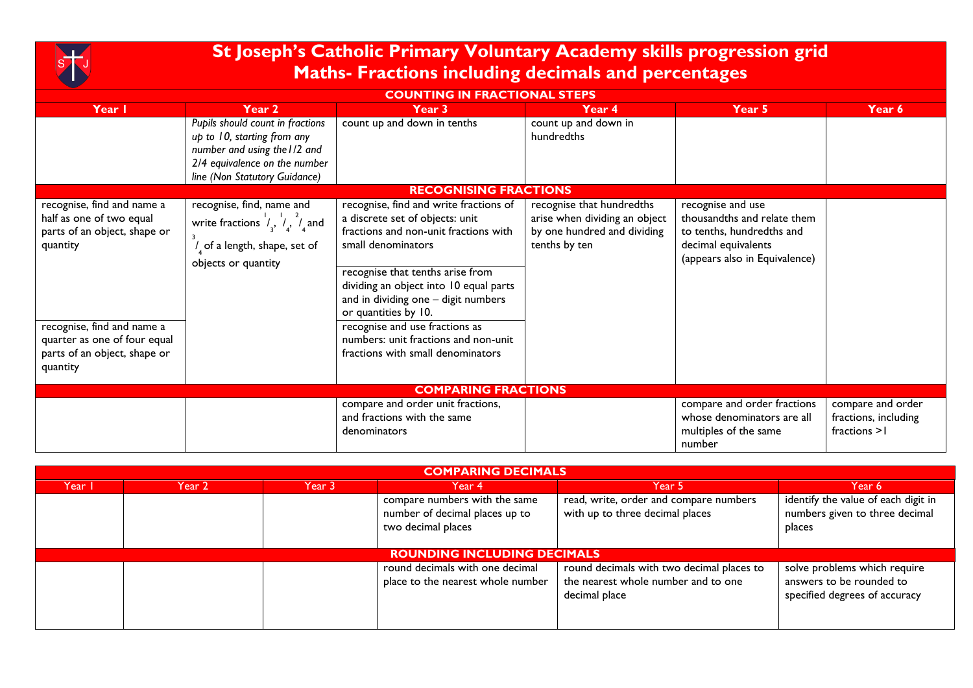

## **St Joseph's Catholic Primary Voluntary Academy skills progression grid Maths- Fractions including decimals and percentages**

| <b>COUNTING IN FRACTIONAL STEPS</b>                                                                                                                                                                          |                                                                                                                                                                   |                                                                                                                                                                                                                                                                                                                                                                                                      |                                                                                                            |                                                                                                                                       |                                                            |  |  |  |  |
|--------------------------------------------------------------------------------------------------------------------------------------------------------------------------------------------------------------|-------------------------------------------------------------------------------------------------------------------------------------------------------------------|------------------------------------------------------------------------------------------------------------------------------------------------------------------------------------------------------------------------------------------------------------------------------------------------------------------------------------------------------------------------------------------------------|------------------------------------------------------------------------------------------------------------|---------------------------------------------------------------------------------------------------------------------------------------|------------------------------------------------------------|--|--|--|--|
| Year I                                                                                                                                                                                                       | Year 2                                                                                                                                                            | Year 3                                                                                                                                                                                                                                                                                                                                                                                               | Year 4                                                                                                     | Year 5                                                                                                                                | Year 6                                                     |  |  |  |  |
|                                                                                                                                                                                                              | Pupils should count in fractions<br>up to 10, starting from any<br>number and using the I/2 and<br>2/4 equivalence on the number<br>line (Non Statutory Guidance) | count up and down in tenths                                                                                                                                                                                                                                                                                                                                                                          | count up and down in<br>hundredths                                                                         |                                                                                                                                       |                                                            |  |  |  |  |
|                                                                                                                                                                                                              |                                                                                                                                                                   | <b>RECOGNISING FRACTIONS</b>                                                                                                                                                                                                                                                                                                                                                                         |                                                                                                            |                                                                                                                                       |                                                            |  |  |  |  |
| recognise, find and name a<br>half as one of two equal<br>parts of an object, shape or<br>quantity<br>recognise, find and name a<br>quarter as one of four equal<br>parts of an object, shape or<br>quantity | recognise, find, name and<br>write fractions $\frac{1}{3}$ , $\frac{1}{4}$ , $\frac{2}{4}$ and<br>$\prime$ of a length, shape, set of<br>objects or quantity      | recognise, find and write fractions of<br>a discrete set of objects: unit<br>fractions and non-unit fractions with<br>small denominators<br>recognise that tenths arise from<br>dividing an object into 10 equal parts<br>and in dividing one - digit numbers<br>or quantities by 10.<br>recognise and use fractions as<br>numbers: unit fractions and non-unit<br>fractions with small denominators | recognise that hundredths<br>arise when dividing an object<br>by one hundred and dividing<br>tenths by ten | recognise and use<br>thousandths and relate them<br>to tenths, hundredths and<br>decimal equivalents<br>(appears also in Equivalence) |                                                            |  |  |  |  |
| <b>COMPARING FRACTIONS</b>                                                                                                                                                                                   |                                                                                                                                                                   |                                                                                                                                                                                                                                                                                                                                                                                                      |                                                                                                            |                                                                                                                                       |                                                            |  |  |  |  |
|                                                                                                                                                                                                              |                                                                                                                                                                   | compare and order unit fractions,<br>and fractions with the same<br>denominators                                                                                                                                                                                                                                                                                                                     |                                                                                                            | compare and order fractions<br>whose denominators are all<br>multiples of the same<br>number                                          | compare and order<br>fractions, including<br>fractions > I |  |  |  |  |

| <b>COMPARING DECIMALS</b> |                                    |  |                                                                                       |                                                                                                   |                                                                                           |  |  |  |  |
|---------------------------|------------------------------------|--|---------------------------------------------------------------------------------------|---------------------------------------------------------------------------------------------------|-------------------------------------------------------------------------------------------|--|--|--|--|
| Year I                    | Year 3<br>Year 2                   |  | Year 4                                                                                | Year 5                                                                                            |                                                                                           |  |  |  |  |
|                           |                                    |  | compare numbers with the same<br>number of decimal places up to<br>two decimal places | read, write, order and compare numbers<br>with up to three decimal places                         | identify the value of each digit in<br>numbers given to three decimal<br>places           |  |  |  |  |
|                           | <b>ROUNDING INCLUDING DECIMALS</b> |  |                                                                                       |                                                                                                   |                                                                                           |  |  |  |  |
|                           |                                    |  | round decimals with one decimal<br>place to the nearest whole number                  | round decimals with two decimal places to<br>the nearest whole number and to one<br>decimal place | solve problems which require<br>answers to be rounded to<br>specified degrees of accuracy |  |  |  |  |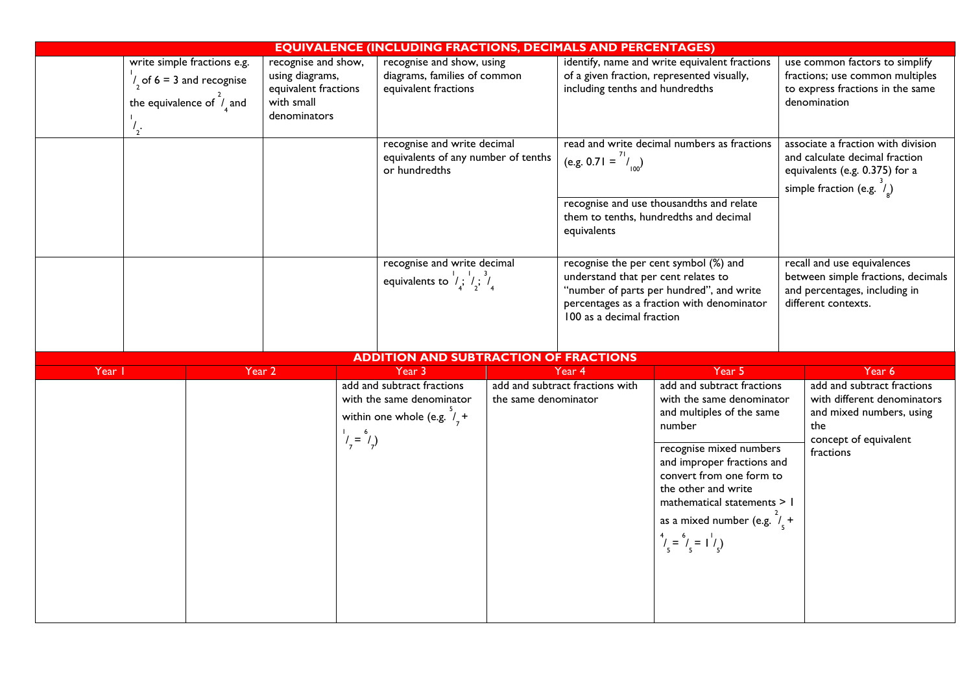| <b>EQUIVALENCE (INCLUDING FRACTIONS, DECIMALS AND PERCENTAGES)</b> |                                                                                                                              |  |                                                                                              |             |                                                                                                   |                                                                  |                                                                                                                                |                                                                                                                                                                                                                                                                                                                                      |                                                                                                                       |                                                                                                                                                 |  |
|--------------------------------------------------------------------|------------------------------------------------------------------------------------------------------------------------------|--|----------------------------------------------------------------------------------------------|-------------|---------------------------------------------------------------------------------------------------|------------------------------------------------------------------|--------------------------------------------------------------------------------------------------------------------------------|--------------------------------------------------------------------------------------------------------------------------------------------------------------------------------------------------------------------------------------------------------------------------------------------------------------------------------------|-----------------------------------------------------------------------------------------------------------------------|-------------------------------------------------------------------------------------------------------------------------------------------------|--|
|                                                                    | write simple fractions e.g.<br>$\frac{1}{2}$ of 6 = 3 and recognise<br>the equivalence of $\hat{I}_4$ and<br>$\frac{1}{2}$ . |  | recognise and show,<br>using diagrams,<br>equivalent fractions<br>with small<br>denominators |             | recognise and show, using<br>diagrams, families of common<br>equivalent fractions                 |                                                                  | identify, name and write equivalent fractions<br>of a given fraction, represented visually,<br>including tenths and hundredths |                                                                                                                                                                                                                                                                                                                                      | use common factors to simplify<br>fractions; use common multiples<br>to express fractions in the same<br>denomination |                                                                                                                                                 |  |
|                                                                    |                                                                                                                              |  |                                                                                              |             | recognise and write decimal<br>equivalents of any number of tenths<br>or hundredths               |                                                                  | (e.g. 0.71 = $\binom{71}{100}$<br>equivalents                                                                                  | read and write decimal numbers as fractions<br>recognise and use thousandths and relate<br>them to tenths, hundredths and decimal                                                                                                                                                                                                    |                                                                                                                       | associate a fraction with division<br>and calculate decimal fraction<br>equivalents (e.g. 0.375) for a<br>simple fraction (e.g. $\hat{I}_{g}$ ) |  |
|                                                                    |                                                                                                                              |  |                                                                                              |             | recognise and write decimal<br>equivalents to $\frac{1}{4}$ ; $\frac{1}{2}$ ; $\frac{3}{4}$       | understand that per cent relates to<br>100 as a decimal fraction |                                                                                                                                | recognise the per cent symbol (%) and<br>"number of parts per hundred", and write<br>percentages as a fraction with denominator                                                                                                                                                                                                      |                                                                                                                       | recall and use equivalences<br>between simple fractions, decimals<br>and percentages, including in<br>different contexts.                       |  |
|                                                                    |                                                                                                                              |  |                                                                                              |             | <b>ADDITION AND SUBTRACTION OF FRACTIONS</b>                                                      |                                                                  |                                                                                                                                |                                                                                                                                                                                                                                                                                                                                      |                                                                                                                       |                                                                                                                                                 |  |
|                                                                    | Year                                                                                                                         |  | Year 2                                                                                       |             | Year 3                                                                                            |                                                                  | Year 4                                                                                                                         | Year 5                                                                                                                                                                                                                                                                                                                               |                                                                                                                       | Year 6                                                                                                                                          |  |
|                                                                    |                                                                                                                              |  |                                                                                              | $1/7 = 6/7$ | add and subtract fractions<br>with the same denominator<br>within one whole (e.g. $\frac{3}{7}$ + | the same denominator                                             | add and subtract fractions with                                                                                                | add and subtract fractions<br>with the same denominator<br>and multiples of the same<br>number<br>recognise mixed numbers<br>and improper fractions and<br>convert from one form to<br>the other and write<br>mathematical statements > 1<br>as a mixed number (e.g. $\frac{2}{5}$ +<br>$\binom{4}{5} = \binom{6}{5} = \binom{1}{5}$ |                                                                                                                       | add and subtract fractions<br>with different denominators<br>and mixed numbers, using<br>the<br>concept of equivalent<br>fractions              |  |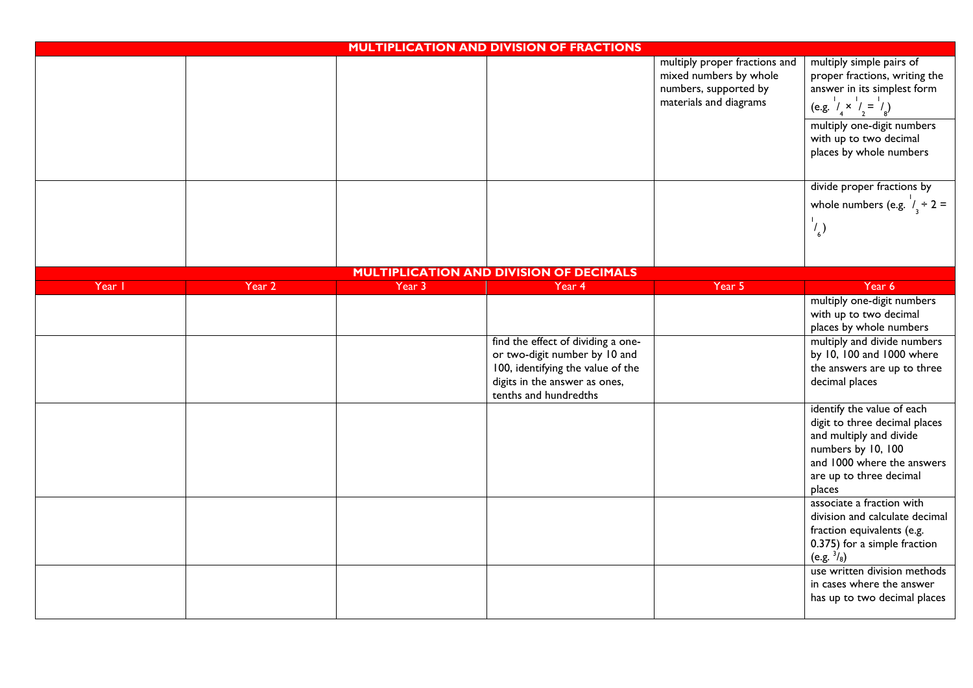| <b>MULTIPLICATION AND DIVISION OF FRACTIONS</b> |        |        |                                                                                                                                                                    |                                                                                                            |                                                                                                                                                                                 |  |
|-------------------------------------------------|--------|--------|--------------------------------------------------------------------------------------------------------------------------------------------------------------------|------------------------------------------------------------------------------------------------------------|---------------------------------------------------------------------------------------------------------------------------------------------------------------------------------|--|
|                                                 |        |        |                                                                                                                                                                    | multiply proper fractions and<br>mixed numbers by whole<br>numbers, supported by<br>materials and diagrams | multiply simple pairs of<br>proper fractions, writing the<br>answer in its simplest form<br>(e.g. $\frac{1}{4} \times \frac{1}{2} = \frac{1}{8}$ )                              |  |
|                                                 |        |        |                                                                                                                                                                    |                                                                                                            | multiply one-digit numbers<br>with up to two decimal<br>places by whole numbers                                                                                                 |  |
|                                                 |        |        |                                                                                                                                                                    |                                                                                                            | divide proper fractions by<br>whole numbers (e.g. $\frac{1}{3} \div 2 =$                                                                                                        |  |
|                                                 |        |        |                                                                                                                                                                    |                                                                                                            | $\left(\frac{1}{6}\right)$                                                                                                                                                      |  |
|                                                 |        |        | <b>MULTIPLICATION AND DIVISION OF DECIMALS</b>                                                                                                                     |                                                                                                            |                                                                                                                                                                                 |  |
| Year I                                          | Year 2 | Year 3 | Year 4                                                                                                                                                             | Year 5                                                                                                     | Year 6                                                                                                                                                                          |  |
|                                                 |        |        |                                                                                                                                                                    |                                                                                                            | multiply one-digit numbers<br>with up to two decimal<br>places by whole numbers                                                                                                 |  |
|                                                 |        |        | find the effect of dividing a one-<br>or two-digit number by 10 and<br>100, identifying the value of the<br>digits in the answer as ones,<br>tenths and hundredths |                                                                                                            | multiply and divide numbers<br>by 10, 100 and 1000 where<br>the answers are up to three<br>decimal places                                                                       |  |
|                                                 |        |        |                                                                                                                                                                    |                                                                                                            | identify the value of each<br>digit to three decimal places<br>and multiply and divide<br>numbers by 10, 100<br>and 1000 where the answers<br>are up to three decimal<br>places |  |
|                                                 |        |        |                                                                                                                                                                    |                                                                                                            | associate a fraction with<br>division and calculate decimal<br>fraction equivalents (e.g.<br>0.375) for a simple fraction<br>(e.g. $\frac{3}{8}$ )                              |  |
|                                                 |        |        |                                                                                                                                                                    |                                                                                                            | use written division methods<br>in cases where the answer<br>has up to two decimal places                                                                                       |  |